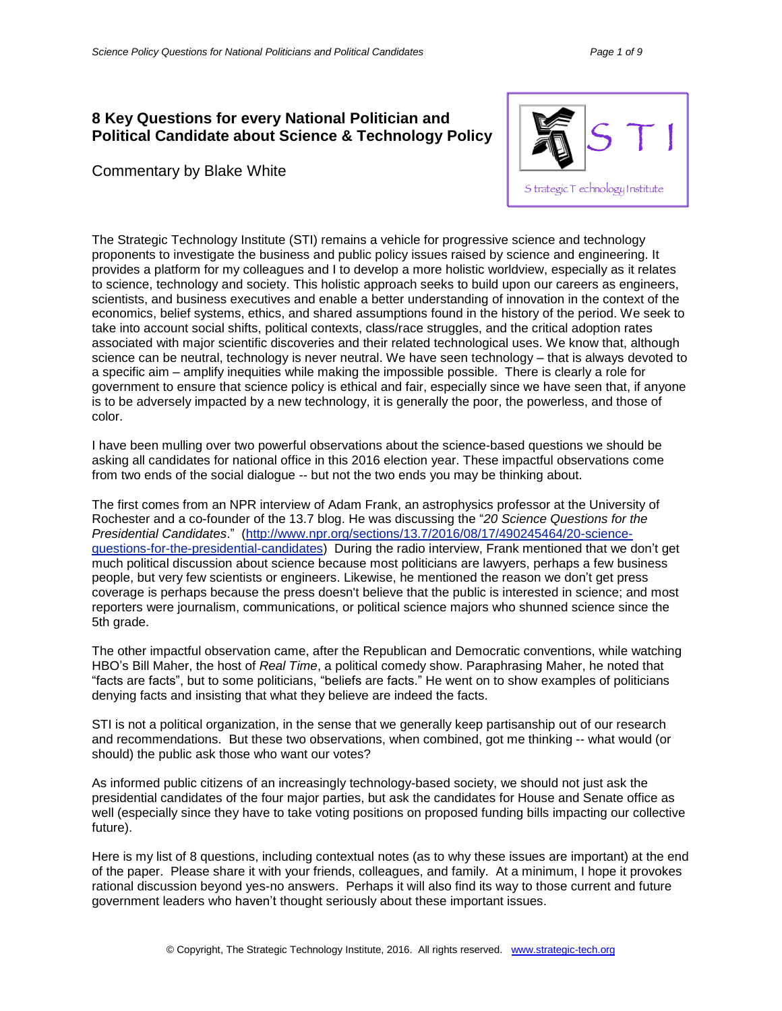## **8 Key Questions for every National Politician and Political Candidate about Science & Technology Policy**

Commentary by Blake White



The Strategic Technology Institute (STI) remains a vehicle for progressive science and technology proponents to investigate the business and public policy issues raised by science and engineering. It provides a platform for my colleagues and I to develop a more holistic worldview, especially as it relates to science, technology and society. This holistic approach seeks to build upon our careers as engineers, scientists, and business executives and enable a better understanding of innovation in the context of the economics, belief systems, ethics, and shared assumptions found in the history of the period. We seek to take into account social shifts, political contexts, class/race struggles, and the critical adoption rates associated with major scientific discoveries and their related technological uses. We know that, although science can be neutral, technology is never neutral. We have seen technology – that is always devoted to a specific aim – amplify inequities while making the impossible possible. There is clearly a role for government to ensure that science policy is ethical and fair, especially since we have seen that, if anyone is to be adversely impacted by a new technology, it is generally the poor, the powerless, and those of color.

I have been mulling over two powerful observations about the science-based questions we should be asking all candidates for national office in this 2016 election year. These impactful observations come from two ends of the social dialogue -- but not the two ends you may be thinking about.

The first comes from an NPR interview of Adam Frank, an astrophysics professor at the University of Rochester and a co-founder of the 13.7 blog. He was discussing the "*20 Science Questions for the Presidential Candidates*." [\(http://www.npr.org/sections/13.7/2016/08/17/490245464/20-science](http://www.npr.org/sections/13.7/2016/08/17/490245464/20-science-questions-for-the-presidential-candidates)[questions-for-the-presidential-candidates\)](http://www.npr.org/sections/13.7/2016/08/17/490245464/20-science-questions-for-the-presidential-candidates) During the radio interview, Frank mentioned that we don't get much political discussion about science because most politicians are lawyers, perhaps a few business people, but very few scientists or engineers. Likewise, he mentioned the reason we don't get press coverage is perhaps because the press doesn't believe that the public is interested in science; and most reporters were journalism, communications, or political science majors who shunned science since the 5th grade.

The other impactful observation came, after the Republican and Democratic conventions, while watching HBO's Bill Maher, the host of *Real Time*, a political comedy show. Paraphrasing Maher, he noted that "facts are facts", but to some politicians, "beliefs are facts." He went on to show examples of politicians denying facts and insisting that what they believe are indeed the facts.

STI is not a political organization, in the sense that we generally keep partisanship out of our research and recommendations. But these two observations, when combined, got me thinking -- what would (or should) the public ask those who want our votes?

As informed public citizens of an increasingly technology-based society, we should not just ask the presidential candidates of the four major parties, but ask the candidates for House and Senate office as well (especially since they have to take voting positions on proposed funding bills impacting our collective future).

Here is my list of 8 questions, including contextual notes (as to why these issues are important) at the end of the paper. Please share it with your friends, colleagues, and family. At a minimum, I hope it provokes rational discussion beyond yes-no answers. Perhaps it will also find its way to those current and future government leaders who haven't thought seriously about these important issues.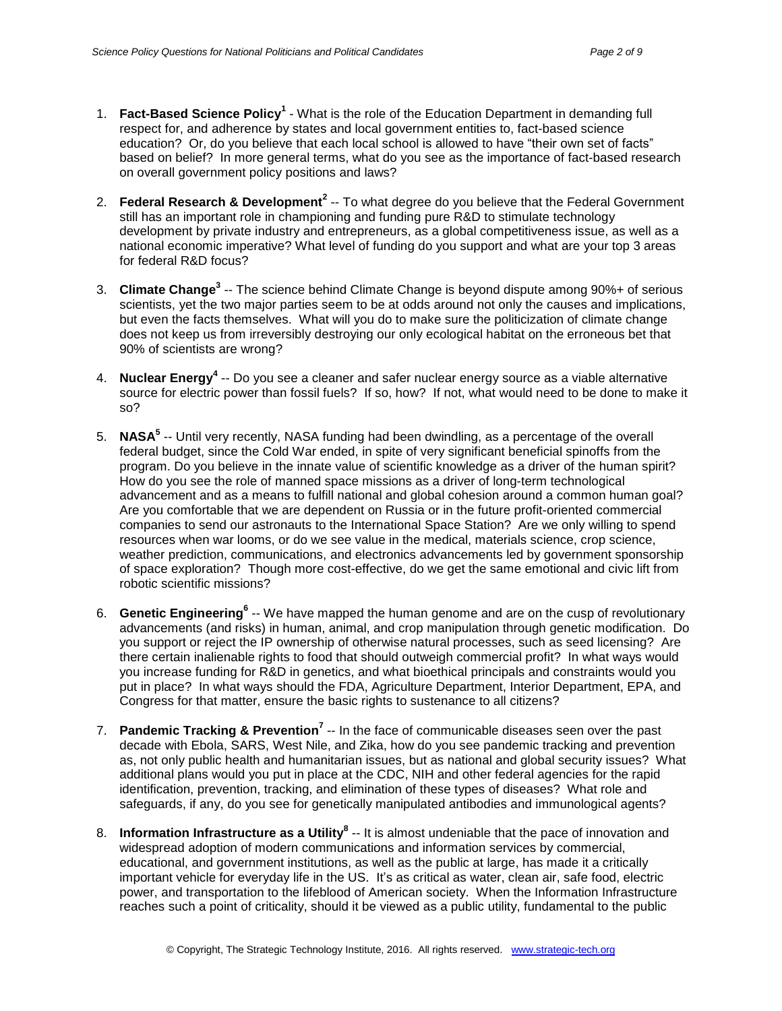- 1. **Fact-Based Science Policy<sup>1</sup>** What is the role of the Education Department in demanding full respect for, and adherence by states and local government entities to, fact-based science education? Or, do you believe that each local school is allowed to have "their own set of facts" based on belief? In more general terms, what do you see as the importance of fact-based research on overall government policy positions and laws?
- 2. **Federal Research & Development<sup>2</sup>** -- To what degree do you believe that the Federal Government still has an important role in championing and funding pure R&D to stimulate technology development by private industry and entrepreneurs, as a global competitiveness issue, as well as a national economic imperative? What level of funding do you support and what are your top 3 areas for federal R&D focus?
- 3. Climate Change<sup>3</sup> -- The science behind Climate Change is beyond dispute among 90%+ of serious scientists, yet the two major parties seem to be at odds around not only the causes and implications, but even the facts themselves. What will you do to make sure the politicization of climate change does not keep us from irreversibly destroying our only ecological habitat on the erroneous bet that 90% of scientists are wrong?
- 4. **Nuclear Energy<sup>4</sup>** -- Do you see a cleaner and safer nuclear energy source as a viable alternative source for electric power than fossil fuels? If so, how? If not, what would need to be done to make it so?
- 5. **NASA<sup>5</sup>** -- Until very recently, NASA funding had been dwindling, as a percentage of the overall federal budget, since the Cold War ended, in spite of very significant beneficial spinoffs from the program. Do you believe in the innate value of scientific knowledge as a driver of the human spirit? How do you see the role of manned space missions as a driver of long-term technological advancement and as a means to fulfill national and global cohesion around a common human goal? Are you comfortable that we are dependent on Russia or in the future profit-oriented commercial companies to send our astronauts to the International Space Station? Are we only willing to spend resources when war looms, or do we see value in the medical, materials science, crop science, weather prediction, communications, and electronics advancements led by government sponsorship of space exploration? Though more cost-effective, do we get the same emotional and civic lift from robotic scientific missions?
- 6. **Genetic Engineering<sup>6</sup>** -- We have mapped the human genome and are on the cusp of revolutionary advancements (and risks) in human, animal, and crop manipulation through genetic modification. Do you support or reject the IP ownership of otherwise natural processes, such as seed licensing? Are there certain inalienable rights to food that should outweigh commercial profit? In what ways would you increase funding for R&D in genetics, and what bioethical principals and constraints would you put in place? In what ways should the FDA, Agriculture Department, Interior Department, EPA, and Congress for that matter, ensure the basic rights to sustenance to all citizens?
- 7. **Pandemic Tracking & Prevention<sup>7</sup> --** In the face of communicable diseases seen over the past decade with Ebola, SARS, West Nile, and Zika, how do you see pandemic tracking and prevention as, not only public health and humanitarian issues, but as national and global security issues? What additional plans would you put in place at the CDC, NIH and other federal agencies for the rapid identification, prevention, tracking, and elimination of these types of diseases? What role and safeguards, if any, do you see for genetically manipulated antibodies and immunological agents?
- 8. **Information Infrastructure as a Utility<sup>8</sup>** -- It is almost undeniable that the pace of innovation and widespread adoption of modern communications and information services by commercial, educational, and government institutions, as well as the public at large, has made it a critically important vehicle for everyday life in the US. It's as critical as water, clean air, safe food, electric power, and transportation to the lifeblood of American society. When the Information Infrastructure reaches such a point of criticality, should it be viewed as a public utility, fundamental to the public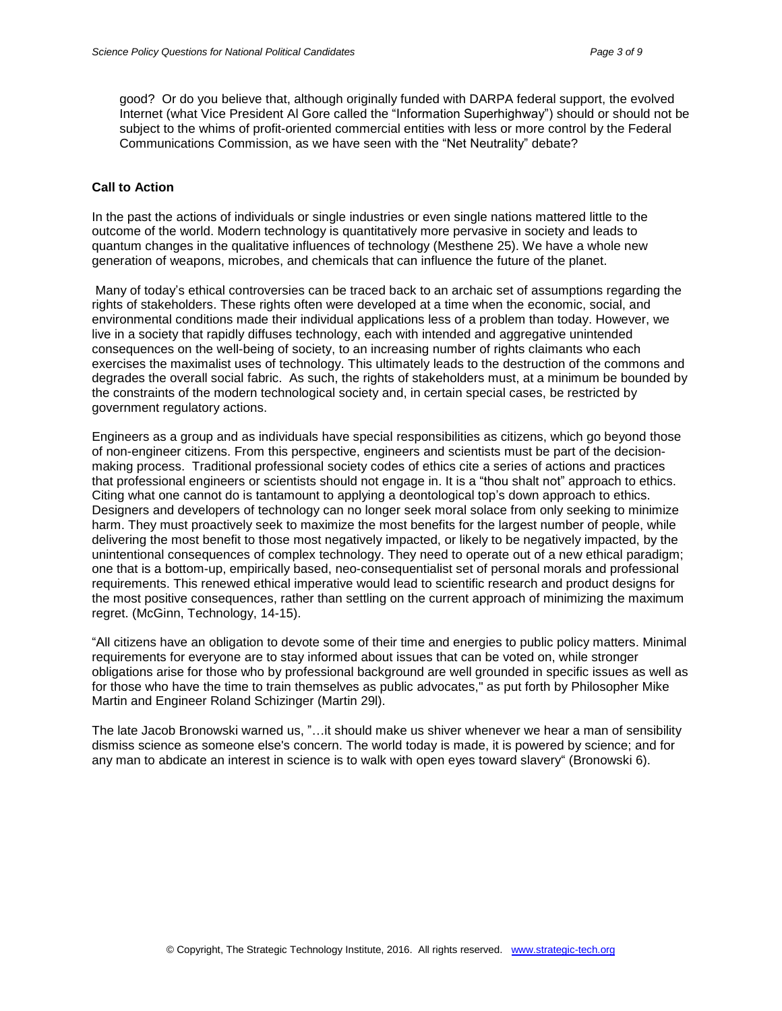good? Or do you believe that, although originally funded with DARPA federal support, the evolved Internet (what Vice President Al Gore called the "Information Superhighway") should or should not be subject to the whims of profit-oriented commercial entities with less or more control by the Federal Communications Commission, as we have seen with the "Net Neutrality" debate?

#### **Call to Action**

In the past the actions of individuals or single industries or even single nations mattered little to the outcome of the world. Modern technology is quantitatively more pervasive in society and leads to quantum changes in the qualitative influences of technology (Mesthene 25). We have a whole new generation of weapons, microbes, and chemicals that can influence the future of the planet.

Many of today's ethical controversies can be traced back to an archaic set of assumptions regarding the rights of stakeholders. These rights often were developed at a time when the economic, social, and environmental conditions made their individual applications less of a problem than today. However, we live in a society that rapidly diffuses technology, each with intended and aggregative unintended consequences on the well-being of society, to an increasing number of rights claimants who each exercises the maximalist uses of technology. This ultimately leads to the destruction of the commons and degrades the overall social fabric. As such, the rights of stakeholders must, at a minimum be bounded by the constraints of the modern technological society and, in certain special cases, be restricted by government regulatory actions.

Engineers as a group and as individuals have special responsibilities as citizens, which go beyond those of non-engineer citizens. From this perspective, engineers and scientists must be part of the decisionmaking process. Traditional professional society codes of ethics cite a series of actions and practices that professional engineers or scientists should not engage in. It is a "thou shalt not" approach to ethics. Citing what one cannot do is tantamount to applying a deontological top's down approach to ethics. Designers and developers of technology can no longer seek moral solace from only seeking to minimize harm. They must proactively seek to maximize the most benefits for the largest number of people, while delivering the most benefit to those most negatively impacted, or likely to be negatively impacted, by the unintentional consequences of complex technology. They need to operate out of a new ethical paradigm; one that is a bottom-up, empirically based, neo-consequentialist set of personal morals and professional requirements. This renewed ethical imperative would lead to scientific research and product designs for the most positive consequences, rather than settling on the current approach of minimizing the maximum regret. (McGinn, Technology, 14-15).

"All citizens have an obligation to devote some of their time and energies to public policy matters. Minimal requirements for everyone are to stay informed about issues that can be voted on, while stronger obligations arise for those who by professional background are well grounded in specific issues as well as for those who have the time to train themselves as public advocates," as put forth by Philosopher Mike Martin and Engineer Roland Schizinger (Martin 29l).

The late Jacob Bronowski warned us, "…it should make us shiver whenever we hear a man of sensibility dismiss science as someone else's concern. The world today is made, it is powered by science; and for any man to abdicate an interest in science is to walk with open eyes toward slavery" (Bronowski 6).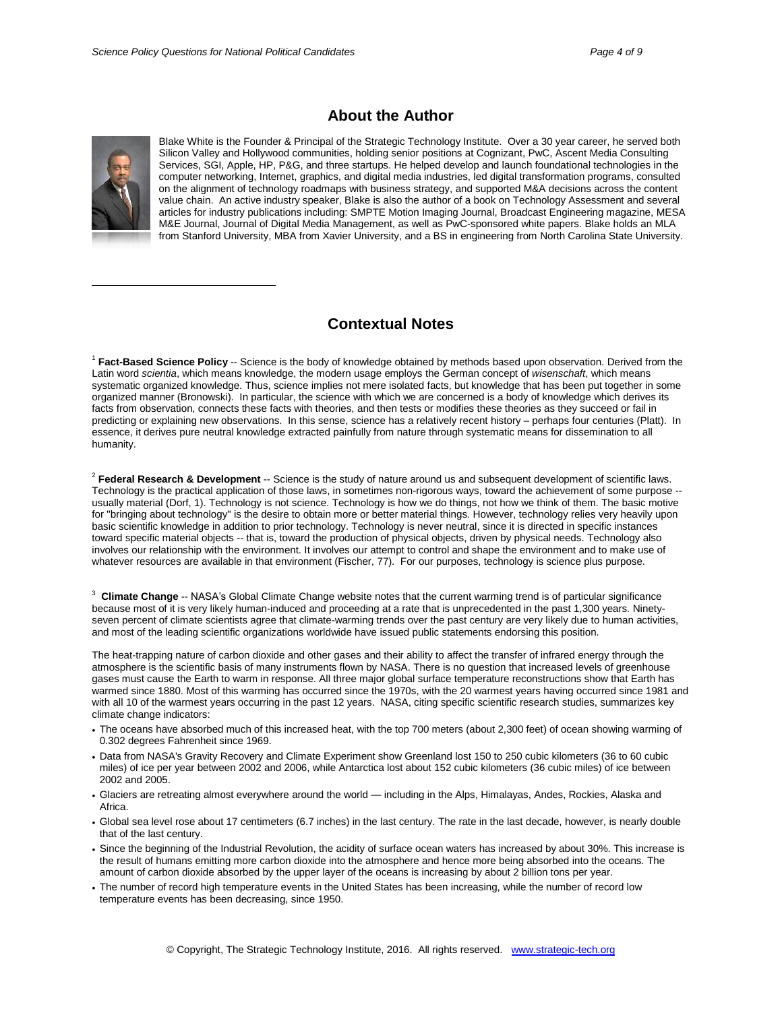

# **About the Author**

Blake White is the Founder & Principal of the Strategic Technology Institute. Over a 30 year career, he served both Silicon Valley and Hollywood communities, holding senior positions at Cognizant, PwC, Ascent Media Consulting Services, SGI, Apple, HP, P&G, and three startups. He helped develop and launch foundational technologies in the computer networking, Internet, graphics, and digital media industries, led digital transformation programs, consulted on the alignment of technology roadmaps with business strategy, and supported M&A decisions across the content value chain. An active industry speaker, Blake is also the author of a book on Technology Assessment and several articles for industry publications including: SMPTE Motion Imaging Journal, Broadcast Engineering magazine, MESA M&E Journal, Journal of Digital Media Management, as well as PwC-sponsored white papers. Blake holds an MLA from Stanford University, MBA from Xavier University, and a BS in engineering from North Carolina State University.

### **Contextual Notes**

1 **Fact-Based Science Policy** -- Science is the body of knowledge obtained by methods based upon observation. Derived from the Latin word *scientia*, which means knowledge, the modern usage employs the German concept of *wisenschaft*, which means systematic organized knowledge. Thus, science implies not mere isolated facts, but knowledge that has been put together in some organized manner (Bronowski). In particular, the science with which we are concerned is a body of knowledge which derives its facts from observation, connects these facts with theories, and then tests or modifies these theories as they succeed or fail in predicting or explaining new observations. In this sense, science has a relatively recent history – perhaps four centuries (Platt). In essence, it derives pure neutral knowledge extracted painfully from nature through systematic means for dissemination to all humanity.

2 **Federal Research & Development** -- Science is the study of nature around us and subsequent development of scientific laws. Technology is the practical application of those laws, in sometimes non-rigorous ways, toward the achievement of some purpose - usually material (Dorf, 1). Technology is not science. Technology is how we do things, not how we think of them. The basic motive for "bringing about technology" is the desire to obtain more or better material things. However, technology relies very heavily upon basic scientific knowledge in addition to prior technology. Technology is never neutral, since it is directed in specific instances toward specific material objects -- that is, toward the production of physical objects, driven by physical needs. Technology also involves our relationship with the environment. It involves our attempt to control and shape the environment and to make use of whatever resources are available in that environment (Fischer, 77). For our purposes, technology is science plus purpose.

3 **Climate Change** -- NASA's Global Climate Change website notes that the current warming trend is of particular significance because most of it is very likely human-induced and proceeding at a rate that is unprecedented in the past 1,300 years. Ninetyseven percent of climate scientists agree that climate-warming trends over the past century are very likely due to human activities, and most of the leading scientific organizations worldwide have issued public statements endorsing this position.

The heat-trapping nature of carbon dioxide and other gases and their ability to affect the transfer of infrared energy through the atmosphere is the scientific basis of many instruments flown by NASA. There is no question that increased levels of greenhouse gases must cause the Earth to warm in response. All three major global surface temperature reconstructions show that Earth has warmed since 1880. Most of this warming has occurred since the 1970s, with the 20 warmest years having occurred since 1981 and with all 10 of the warmest years occurring in the past 12 years. NASA, citing specific scientific research studies, summarizes key climate change indicators:

- The oceans have absorbed much of this increased heat, with the top 700 meters (about 2,300 feet) of ocean showing warming of 0.302 degrees Fahrenheit since 1969.
- Data from NASA's Gravity Recovery and Climate Experiment show Greenland lost 150 to 250 cubic kilometers (36 to 60 cubic miles) of ice per year between 2002 and 2006, while Antarctica lost about 152 cubic kilometers (36 cubic miles) of ice between 2002 and 2005.
- Glaciers are retreating almost everywhere around the world including in the Alps, Himalayas, Andes, Rockies, Alaska and Africa.
- Global sea level rose about 17 centimeters (6.7 inches) in the last century. The rate in the last decade, however, is nearly double that of the last century.
- Since the beginning of the Industrial Revolution, the acidity of surface ocean waters has increased by about 30%. This increase is the result of humans emitting more carbon dioxide into the atmosphere and hence more being absorbed into the oceans. The amount of carbon dioxide absorbed by the upper layer of the oceans is increasing by about 2 billion tons per year.
- The number of record high temperature events in the United States has been increasing, while the number of record low temperature events has been decreasing, since 1950.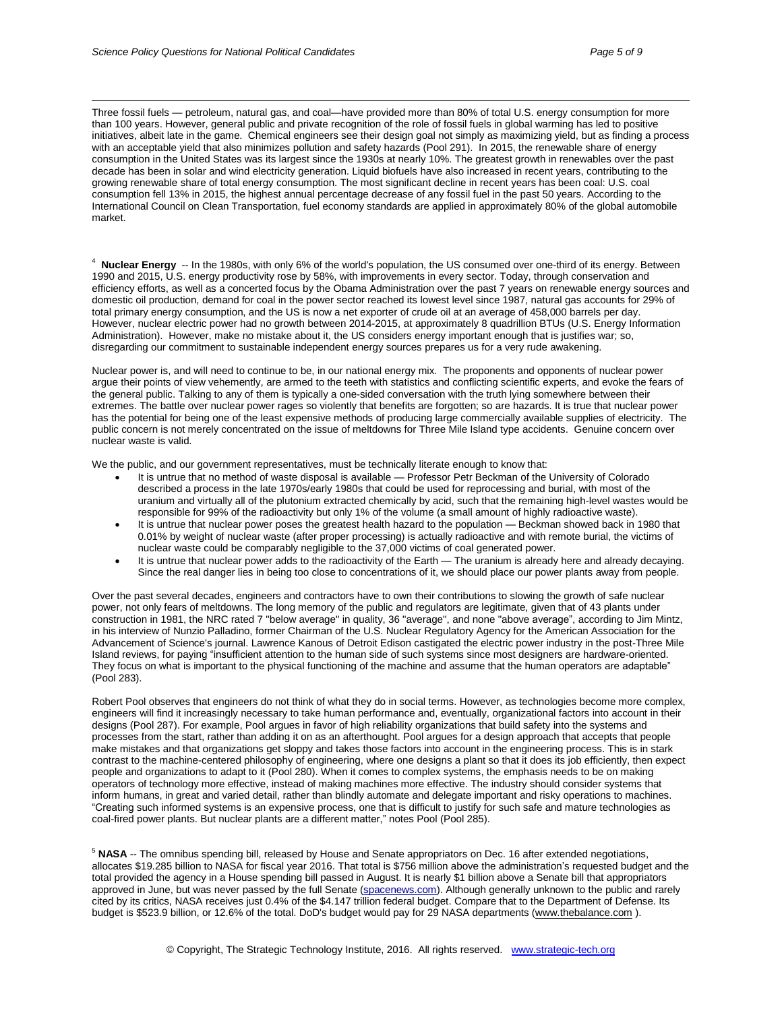Three fossil fuels — petroleum, natural gas, and coal—have provided more than 80% of total U.S. energy consumption for more than 100 years. However, general public and private recognition of the role of fossil fuels in global warming has led to positive initiatives, albeit late in the game. Chemical engineers see their design goal not simply as maximizing yield, but as finding a process with an acceptable yield that also minimizes pollution and safety hazards (Pool 291). In 2015, the renewable share of energy consumption in the United States was its largest since the 1930s at nearly 10%. The greatest growth in renewables over the past decade has been in solar and wind electricity generation. Liquid biofuels have also increased in recent years, contributing to the growing renewable share of total energy consumption. The most significant decline in recent years has been coal: U.S. coal consumption fell 13% in 2015, the highest annual percentage decrease of any fossil fuel in the past 50 years. According to the International Council on Clean Transportation, fuel economy standards are applied in approximately 80% of the global automobile market.

4 **Nuclear Energy** -- In the 1980s, with only 6% of the world's population, the US consumed over one-third of its energy. Between 1990 and 2015, U.S. energy productivity rose by 58%, with improvements in every sector. Today, through conservation and efficiency efforts, as well as a concerted focus by the Obama Administration over the past 7 years on renewable energy sources and domestic oil production, demand for coal in the power sector reached its lowest level since 1987, natural gas accounts for 29% of total primary energy consumption, and the US is now a net exporter of crude oil at an average of 458,000 barrels per day. However, nuclear electric power had no growth between 2014-2015, at approximately 8 quadrillion BTUs (U.S. Energy Information Administration). However, make no mistake about it, the US considers energy important enough that is justifies war; so, disregarding our commitment to sustainable independent energy sources prepares us for a very rude awakening.

Nuclear power is, and will need to continue to be, in our national energy mix. The proponents and opponents of nuclear power argue their points of view vehemently, are armed to the teeth with statistics and conflicting scientific experts, and evoke the fears of the general public. Talking to any of them is typically a one-sided conversation with the truth lying somewhere between their extremes. The battle over nuclear power rages so violently that benefits are forgotten; so are hazards. It is true that nuclear power has the potential for being one of the least expensive methods of producing large commercially available supplies of electricity. The public concern is not merely concentrated on the issue of meltdowns for Three Mile Island type accidents. Genuine concern over nuclear waste is valid.

We the public, and our government representatives, must be technically literate enough to know that:

- It is untrue that no method of waste disposal is available Professor Petr Beckman of the University of Colorado described a process in the late 1970s/early 1980s that could be used for reprocessing and burial, with most of the uranium and virtually all of the plutonium extracted chemically by acid, such that the remaining high-level wastes would be responsible for 99% of the radioactivity but only 1% of the volume (a small amount of highly radioactive waste).
- It is untrue that nuclear power poses the greatest health hazard to the population Beckman showed back in 1980 that 0.01% by weight of nuclear waste (after proper processing) is actually radioactive and with remote burial, the victims of nuclear waste could be comparably negligible to the 37,000 victims of coal generated power.
- It is untrue that nuclear power adds to the radioactivity of the Earth The uranium is already here and already decaying. Since the real danger lies in being too close to concentrations of it, we should place our power plants away from people.

Over the past several decades, engineers and contractors have to own their contributions to slowing the growth of safe nuclear power, not only fears of meltdowns. The long memory of the public and regulators are legitimate, given that of 43 plants under construction in 1981, the NRC rated 7 "below average" in quality, 36 "average", and none "above average", according to Jim Mintz, in his interview of Nunzio Palladino, former Chairman of the U.S. Nuclear Regulatory Agency for the American Association for the Advancement of Science's journal. Lawrence Kanous of Detroit Edison castigated the electric power industry in the post-Three Mile Island reviews, for paying "insufficient attention to the human side of such systems since most designers are hardware-oriented. They focus on what is important to the physical functioning of the machine and assume that the human operators are adaptable" (Pool 283).

Robert Pool observes that engineers do not think of what they do in social terms. However, as technologies become more complex, engineers will find it increasingly necessary to take human performance and, eventually, organizational factors into account in their designs (Pool 287). For example, Pool argues in favor of high reliability organizations that build safety into the systems and processes from the start, rather than adding it on as an afterthought. Pool argues for a design approach that accepts that people make mistakes and that organizations get sloppy and takes those factors into account in the engineering process. This is in stark contrast to the machine-centered philosophy of engineering, where one designs a plant so that it does its job efficiently, then expect people and organizations to adapt to it (Pool 280). When it comes to complex systems, the emphasis needs to be on making operators of technology more effective, instead of making machines more effective. The industry should consider systems that inform humans, in great and varied detail, rather than blindly automate and delegate important and risky operations to machines. "Creating such informed systems is an expensive process, one that is difficult to justify for such safe and mature technologies as coal-fired power plants. But nuclear plants are a different matter," notes Pool (Pool 285).

<sup>5</sup> NASA -- The omnibus spending bill, released by House and Senate appropriators on Dec. 16 after extended negotiations, allocates \$19.285 billion to NASA for fiscal year 2016. That total is \$756 million above the administration's requested budget and the total provided the agency in a House spending bill passed in August. It is nearly \$1 billion above a Senate bill that appropriators approved in June, but was never passed by the full Senate [\(spacenews.com\)](http://spacenews.com/). Although generally unknown to the public and rarely cited by its critics, NASA receives just 0.4% of the \$4.147 trillion federal budget. Compare that to the Department of Defense. Its budget is \$523.9 billion, or 12.6% of the total. DoD's budget would pay for 29 NASA departments [\(www.thebalance.com](http://www.thebalance.com/)).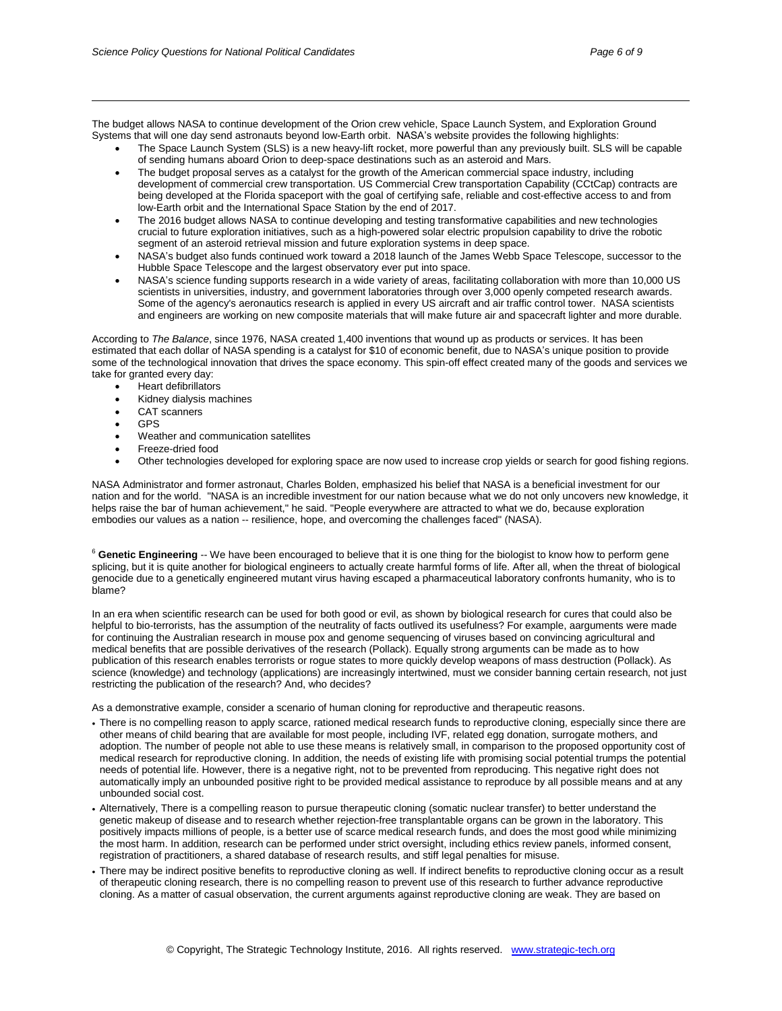The budget allows NASA to continue development of the Orion crew vehicle, Space Launch System, and Exploration Ground Systems that will one day send astronauts beyond low-Earth orbit. NASA's website provides the following highlights:

- The Space Launch System (SLS) is a new heavy-lift rocket, more powerful than any previously built. SLS will be capable of sending humans aboard Orion to deep-space destinations such as an asteroid and Mars.
- The budget proposal serves as a catalyst for the growth of the American commercial space industry, including development of commercial crew transportation. US Commercial Crew transportation Capability (CCtCap) contracts are being developed at the Florida spaceport with the goal of certifying safe, reliable and cost-effective access to and from low-Earth orbit and the International Space Station by the end of 2017.
- The 2016 budget allows NASA to continue developing and testing transformative capabilities and new technologies crucial to future exploration initiatives, such as a high-powered solar electric propulsion capability to drive the robotic segment of an asteroid retrieval mission and future exploration systems in deep space.
- NASA's budget also funds continued work toward a 2018 launch of the James Webb Space Telescope, successor to the Hubble Space Telescope and the largest observatory ever put into space.
- NASA's science funding supports research in a wide variety of areas, facilitating collaboration with more than 10,000 US scientists in universities, industry, and government laboratories through over 3,000 openly competed research awards. Some of the agency's aeronautics research is applied in every US aircraft and air traffic control tower. NASA scientists and engineers are working on new composite materials that will make future air and spacecraft lighter and more durable.

According to *The Balance*, since 1976, NASA created 1,400 inventions that wound up as products or services. It has been estimated that each dollar of NASA spending is a catalyst for \$10 of economic benefit, due to NASA's unique position to provide some of the technological innovation that drives the space economy. This spin-off effect created many of the goods and services we take for granted every day:

- Heart defibrillators
- Kidney dialysis machines
- CAT scanners
- GPS

 $\overline{a}$ 

- Weather and communication satellites
- Freeze-dried food
- Other technologies developed for exploring space are now used to increase crop yields or search for good fishing regions.

NASA Administrator and former astronaut, Charles Bolden, emphasized his belief that NASA is a beneficial investment for our nation and for the world. "NASA is an incredible investment for our nation because what we do not only uncovers new knowledge, it helps raise the bar of human achievement," he said. "People everywhere are attracted to what we do, because exploration embodies our values as a nation -- resilience, hope, and overcoming the challenges faced" (NASA).

<sup>6</sup> Genetic Engineering -- We have been encouraged to believe that it is one thing for the biologist to know how to perform gene splicing, but it is quite another for biological engineers to actually create harmful forms of life. After all, when the threat of biological genocide due to a genetically engineered mutant virus having escaped a pharmaceutical laboratory confronts humanity, who is to blame?

In an era when scientific research can be used for both good or evil, as shown by biological research for cures that could also be helpful to bio-terrorists, has the assumption of the neutrality of facts outlived its usefulness? For example, aarguments were made for continuing the Australian research in mouse pox and genome sequencing of viruses based on convincing agricultural and medical benefits that are possible derivatives of the research (Pollack). Equally strong arguments can be made as to how publication of this research enables terrorists or rogue states to more quickly develop weapons of mass destruction (Pollack). As science (knowledge) and technology (applications) are increasingly intertwined, must we consider banning certain research, not just restricting the publication of the research? And, who decides?

As a demonstrative example, consider a scenario of human cloning for reproductive and therapeutic reasons.

- There is no compelling reason to apply scarce, rationed medical research funds to reproductive cloning, especially since there are other means of child bearing that are available for most people, including IVF, related egg donation, surrogate mothers, and adoption. The number of people not able to use these means is relatively small, in comparison to the proposed opportunity cost of medical research for reproductive cloning. In addition, the needs of existing life with promising social potential trumps the potential needs of potential life. However, there is a negative right, not to be prevented from reproducing. This negative right does not automatically imply an unbounded positive right to be provided medical assistance to reproduce by all possible means and at any unbounded social cost.
- Alternatively, There is a compelling reason to pursue therapeutic cloning (somatic nuclear transfer) to better understand the genetic makeup of disease and to research whether rejection-free transplantable organs can be grown in the laboratory. This positively impacts millions of people, is a better use of scarce medical research funds, and does the most good while minimizing the most harm. In addition, research can be performed under strict oversight, including ethics review panels, informed consent, registration of practitioners, a shared database of research results, and stiff legal penalties for misuse.
- There may be indirect positive benefits to reproductive cloning as well. If indirect benefits to reproductive cloning occur as a result of therapeutic cloning research, there is no compelling reason to prevent use of this research to further advance reproductive cloning. As a matter of casual observation, the current arguments against reproductive cloning are weak. They are based on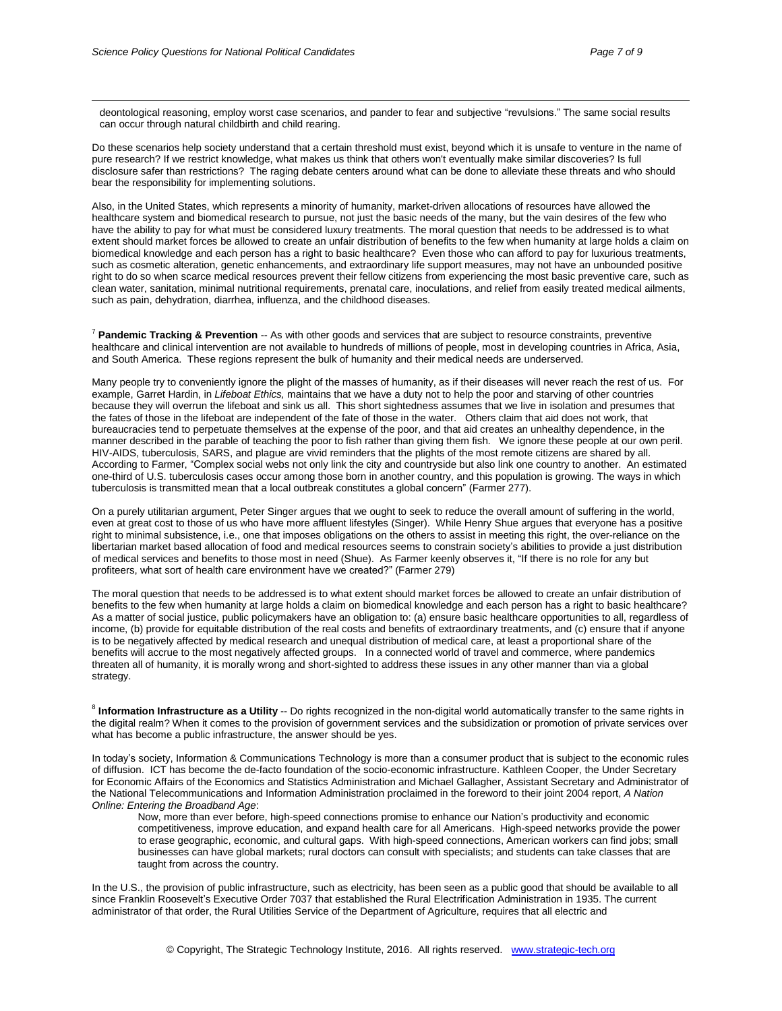deontological reasoning, employ worst case scenarios, and pander to fear and subjective "revulsions." The same social results can occur through natural childbirth and child rearing.

Do these scenarios help society understand that a certain threshold must exist, beyond which it is unsafe to venture in the name of pure research? If we restrict knowledge, what makes us think that others won't eventually make similar discoveries? Is full disclosure safer than restrictions? The raging debate centers around what can be done to alleviate these threats and who should bear the responsibility for implementing solutions.

Also, in the United States, which represents a minority of humanity, market-driven allocations of resources have allowed the healthcare system and biomedical research to pursue, not just the basic needs of the many, but the vain desires of the few who have the ability to pay for what must be considered luxury treatments. The moral question that needs to be addressed is to what extent should market forces be allowed to create an unfair distribution of benefits to the few when humanity at large holds a claim on biomedical knowledge and each person has a right to basic healthcare? Even those who can afford to pay for luxurious treatments, such as cosmetic alteration, genetic enhancements, and extraordinary life support measures, may not have an unbounded positive right to do so when scarce medical resources prevent their fellow citizens from experiencing the most basic preventive care, such as clean water, sanitation, minimal nutritional requirements, prenatal care, inoculations, and relief from easily treated medical ailments, such as pain, dehydration, diarrhea, influenza, and the childhood diseases.

<sup>7</sup> **Pandemic Tracking & Prevention** -- As with other goods and services that are subject to resource constraints, preventive healthcare and clinical intervention are not available to hundreds of millions of people, most in developing countries in Africa, Asia, and South America. These regions represent the bulk of humanity and their medical needs are underserved.

Many people try to conveniently ignore the plight of the masses of humanity, as if their diseases will never reach the rest of us. For example, Garret Hardin, in *Lifeboat Ethics,* maintains that we have a duty not to help the poor and starving of other countries because they will overrun the lifeboat and sink us all. This short sightedness assumes that we live in isolation and presumes that the fates of those in the lifeboat are independent of the fate of those in the water. Others claim that aid does not work, that bureaucracies tend to perpetuate themselves at the expense of the poor, and that aid creates an unhealthy dependence, in the manner described in the parable of teaching the poor to fish rather than giving them fish. We ignore these people at our own peril. HIV-AIDS, tuberculosis, SARS, and plague are vivid reminders that the plights of the most remote citizens are shared by all. According to Farmer, "Complex social webs not only link the city and countryside but also link one country to another. An estimated one-third of U.S. tuberculosis cases occur among those born in another country, and this population is growing. The ways in which tuberculosis is transmitted mean that a local outbreak constitutes a global concern" (Farmer 277).

On a purely utilitarian argument, Peter Singer argues that we ought to seek to reduce the overall amount of suffering in the world, even at great cost to those of us who have more affluent lifestyles (Singer). While Henry Shue argues that everyone has a positive right to minimal subsistence, i.e., one that imposes obligations on the others to assist in meeting this right, the over-reliance on the libertarian market based allocation of food and medical resources seems to constrain society's abilities to provide a just distribution of medical services and benefits to those most in need (Shue). As Farmer keenly observes it, "If there is no role for any but profiteers, what sort of health care environment have we created?" (Farmer 279)

The moral question that needs to be addressed is to what extent should market forces be allowed to create an unfair distribution of benefits to the few when humanity at large holds a claim on biomedical knowledge and each person has a right to basic healthcare? As a matter of social justice, public policymakers have an obligation to: (a) ensure basic healthcare opportunities to all, regardless of income, (b) provide for equitable distribution of the real costs and benefits of extraordinary treatments, and (c) ensure that if anyone is to be negatively affected by medical research and unequal distribution of medical care, at least a proportional share of the benefits will accrue to the most negatively affected groups. In a connected world of travel and commerce, where pandemics threaten all of humanity, it is morally wrong and short-sighted to address these issues in any other manner than via a global strategy.

8 **Information Infrastructure as a Utility** -- Do rights recognized in the non-digital world automatically transfer to the same rights in the digital realm? When it comes to the provision of government services and the subsidization or promotion of private services over what has become a public infrastructure, the answer should be yes.

In today's society, Information & Communications Technology is more than a consumer product that is subject to the economic rules of diffusion. ICT has become the de-facto foundation of the socio-economic infrastructure. Kathleen Cooper, the Under Secretary for Economic Affairs of the Economics and Statistics Administration and Michael Gallagher, Assistant Secretary and Administrator of the National Telecommunications and Information Administration proclaimed in the foreword to their joint 2004 report, *A Nation Online: Entering the Broadband Age*:

Now, more than ever before, high-speed connections promise to enhance our Nation's productivity and economic competitiveness, improve education, and expand health care for all Americans. High-speed networks provide the power to erase geographic, economic, and cultural gaps. With high-speed connections, American workers can find jobs; small businesses can have global markets; rural doctors can consult with specialists; and students can take classes that are taught from across the country.

In the U.S., the provision of public infrastructure, such as electricity, has been seen as a public good that should be available to all since Franklin Roosevelt's Executive Order 7037 that established the Rural Electrification Administration in 1935. The current administrator of that order, the Rural Utilities Service of the Department of Agriculture, requires that all electric and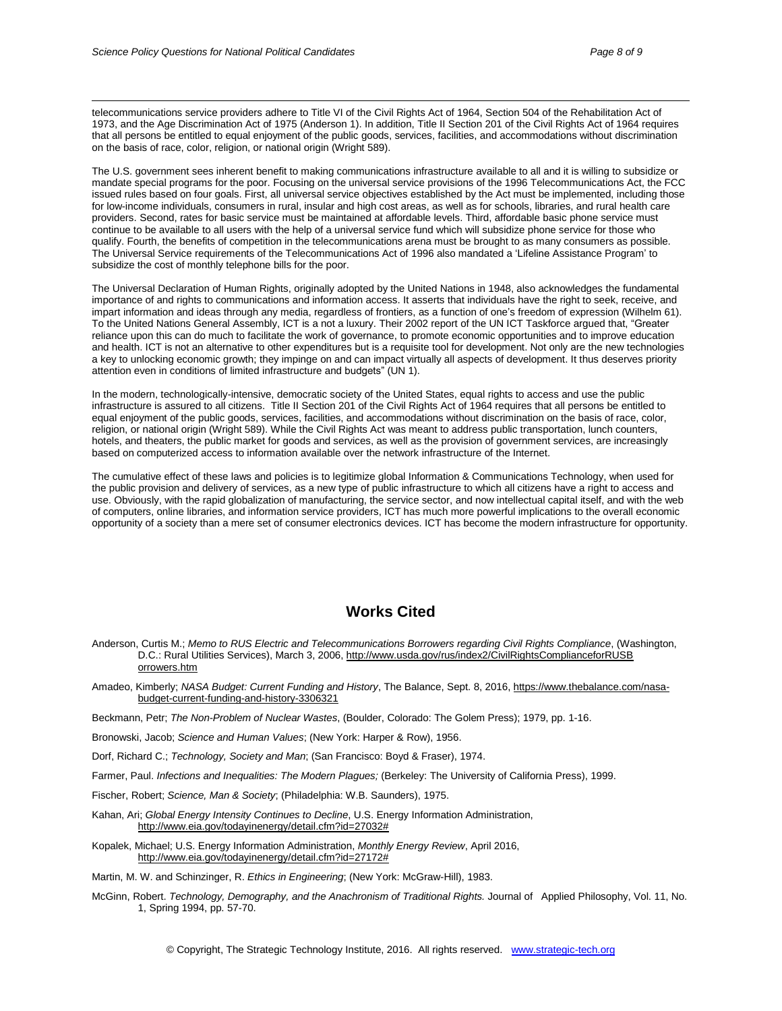telecommunications service providers adhere to Title VI of the Civil Rights Act of 1964, Section 504 of the Rehabilitation Act of 1973, and the Age Discrimination Act of 1975 (Anderson 1). In addition, Title II Section 201 of the Civil Rights Act of 1964 requires that all persons be entitled to equal enjoyment of the public goods, services, facilities, and accommodations without discrimination on the basis of race, color, religion, or national origin (Wright 589).

The U.S. government sees inherent benefit to making communications infrastructure available to all and it is willing to subsidize or mandate special programs for the poor. Focusing on the universal service provisions of the 1996 Telecommunications Act, the FCC issued rules based on four goals. First, all universal service objectives established by the Act must be implemented, including those for low-income individuals, consumers in rural, insular and high cost areas, as well as for schools, libraries, and rural health care providers. Second, rates for basic service must be maintained at affordable levels. Third, affordable basic phone service must continue to be available to all users with the help of a universal service fund which will subsidize phone service for those who qualify. Fourth, the benefits of competition in the telecommunications arena must be brought to as many consumers as possible. The Universal Service requirements of the Telecommunications Act of 1996 also mandated a 'Lifeline Assistance Program' to subsidize the cost of monthly telephone bills for the poor.

The Universal Declaration of Human Rights, originally adopted by the United Nations in 1948, also acknowledges the fundamental importance of and rights to communications and information access. It asserts that individuals have the right to seek, receive, and impart information and ideas through any media, regardless of frontiers, as a function of one's freedom of expression (Wilhelm 61). To the United Nations General Assembly, ICT is a not a luxury. Their 2002 report of the UN ICT Taskforce argued that, "Greater reliance upon this can do much to facilitate the work of governance, to promote economic opportunities and to improve education and health. ICT is not an alternative to other expenditures but is a requisite tool for development. Not only are the new technologies a key to unlocking economic growth; they impinge on and can impact virtually all aspects of development. It thus deserves priority attention even in conditions of limited infrastructure and budgets" (UN 1).

In the modern, technologically-intensive, democratic society of the United States, equal rights to access and use the public infrastructure is assured to all citizens. Title II Section 201 of the Civil Rights Act of 1964 requires that all persons be entitled to equal enjoyment of the public goods, services, facilities, and accommodations without discrimination on the basis of race, color, religion, or national origin (Wright 589). While the Civil Rights Act was meant to address public transportation, lunch counters, hotels, and theaters, the public market for goods and services, as well as the provision of government services, are increasingly based on computerized access to information available over the network infrastructure of the Internet.

The cumulative effect of these laws and policies is to legitimize global Information & Communications Technology, when used for the public provision and delivery of services, as a new type of public infrastructure to which all citizens have a right to access and use. Obviously, with the rapid globalization of manufacturing, the service sector, and now intellectual capital itself, and with the web of computers, online libraries, and information service providers, ICT has much more powerful implications to the overall economic opportunity of a society than a mere set of consumer electronics devices. ICT has become the modern infrastructure for opportunity.

### **Works Cited**

- Anderson, Curtis M.; *Memo to RUS Electric and Telecommunications Borrowers regarding Civil Rights Compliance*, (Washington, D.C.: Rural Utilities Services), March 3, 2006, [http://www.usda.gov/rus/index2/CivilRightsComplianceforRUSB](http://www.usda.gov/rus/index2/CivilRightsComplianceforRUSB%20orrowers.htm) [orrowers.htm](http://www.usda.gov/rus/index2/CivilRightsComplianceforRUSB%20orrowers.htm)
- Amadeo, Kimberly; *NASA Budget: Current Funding and History*, The Balance, Sept. 8, 2016, [https://www.thebalance.com/nasa](https://www.thebalance.com/nasa-budget-current-funding-and-history-3306321)[budget-current-funding-and-history-3306321](https://www.thebalance.com/nasa-budget-current-funding-and-history-3306321)

Beckmann, Petr; *The Non-Problem of Nuclear Wastes*, (Boulder, Colorado: The Golem Press); 1979, pp. 1-16.

Bronowski, Jacob; *Science and Human Values*; (New York: Harper & Row), 1956.

Dorf, Richard C.; *Technology, Society and Man*; (San Francisco: Boyd & Fraser), 1974.

Farmer, Paul. *Infections and Inequalities: The Modern Plagues;* (Berkeley: The University of California Press), 1999.

Fischer, Robert; *Science, Man & Society*; (Philadelphia: W.B. Saunders), 1975.

- Kahan, Ari; *Global Energy Intensity Continues to Decline*, U.S. Energy Information Administration, [http://www.eia.gov/todayinenergy/detail.cfm?id=27032#](http://www.eia.gov/todayinenergy/detail.cfm?id=27032)
- Kopalek, Michael; U.S. Energy Information Administration, *Monthly Energy Review*, April 2016, [http://www.eia.gov/todayinenergy/detail.cfm?id=27172#](http://www.eia.gov/todayinenergy/detail.cfm?id=27172)

Martin, M. W. and Schinzinger, R. *Ethics in Engineering*; (New York: McGraw-Hill), 1983.

McGinn, Robert. *Technology, Demography, and the Anachronism of Traditional Rights.* Journal of Applied Philosophy, Vol. 11, No. 1, Spring 1994, pp. 57-70.